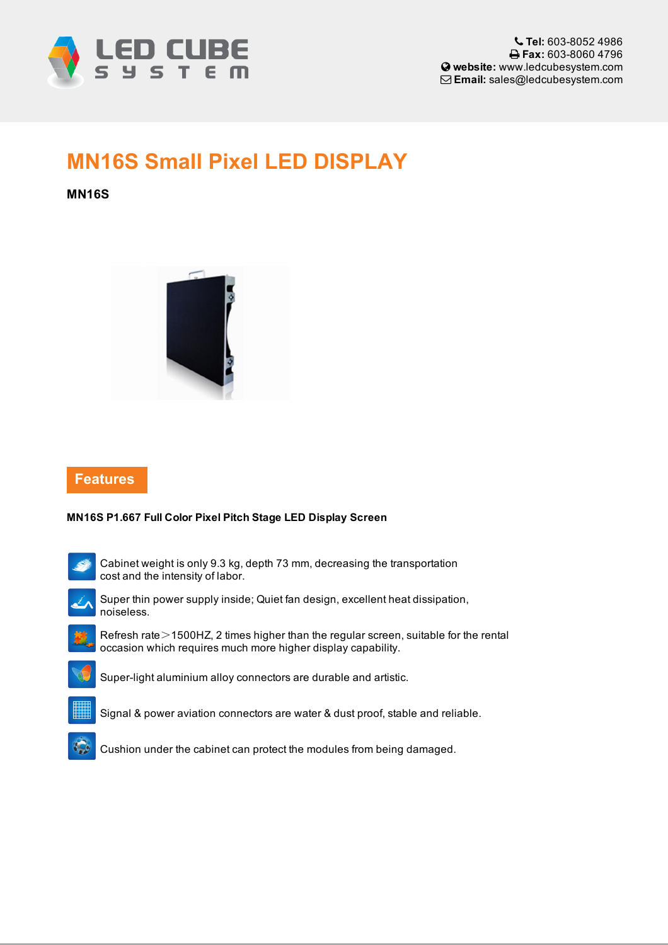

# MN16S Small Pixel LED DISPLAY

### MN16S



## Features

#### MN16S P1.667 Full Color Pixel Pitch Stage LED Display Screen



Cabinet weight is only 9.3 kg, depth 73 mm, decreasing the transportation cost and the intensity of labor.



Super thin power supply inside; Quiet fan design, excellent heat dissipation, noiseless.



Refresh rate>1500HZ, 2 times higher than the regular screen, suitable for the rental occasion which requires much more higher display capability.



Super-light aluminium alloy connectors are durable and artistic.





Cushion under the cabinet can protect the modules from being damaged.